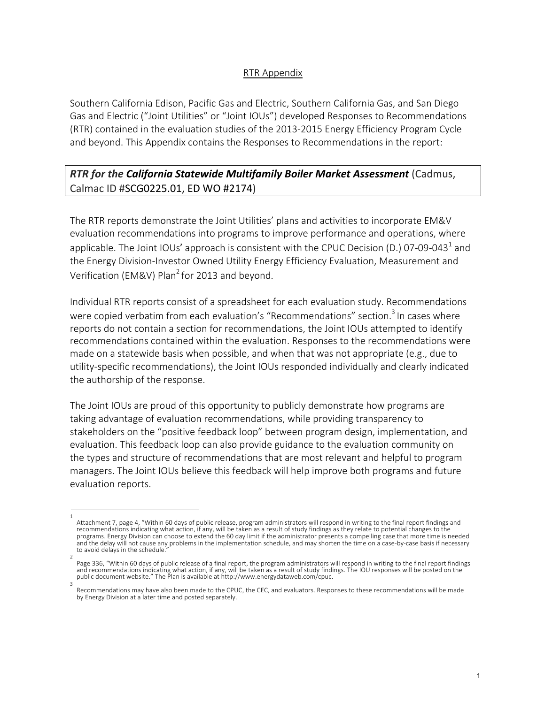## RTR Appendix

Southern California Edison, Pacific Gas and Electric, Southern California Gas, and San Diego Gas and Electric ("Joint Utilities" or "Joint IOUs") developed Responses to Recommendations (RTR) contained in the evaluation studies of the 2013-2015 Energy Efficiency Program Cycle and beyond. This Appendix contains the Responses to Recommendations in the report:

## *RTR for the California Statewide Multifamily Boiler Market Assessment* (Cadmus, Calmac ID #SCG0225.01, ED WO #2174)

The RTR reports demonstrate the Joint Utilities' plans and activities to incorporate EM&V evaluation recommendations into programs to improve performance and operations, where applicable. The Joint IOUs' approach is consistent with the CPUC Decision (D.) 07-09-043<sup>1</sup> and the Energy Division-Investor Owned Utility Energy Efficiency Evaluation, Measurement and Verification (EM&V) Plan<sup>2</sup> for 2013 and beyond.

Individual RTR reports consist of a spreadsheet for each evaluation study. Recommendations were copied verbatim from each evaluation's "Recommendations" section.<sup>3</sup> In cases where reports do not contain a section for recommendations, the Joint IOUs attempted to identify recommendations contained within the evaluation. Responses to the recommendations were made on a statewide basis when possible, and when that was not appropriate (e.g., due to utility-specific recommendations), the Joint IOUs responded individually and clearly indicated the authorship of the response.

The Joint IOUs are proud of this opportunity to publicly demonstrate how programs are taking advantage of evaluation recommendations, while providing transparency to stakeholders on the "positive feedback loop" between program design, implementation, and evaluation. This feedback loop can also provide guidance to the evaluation community on the types and structure of recommendations that are most relevant and helpful to program managers. The Joint IOUs believe this feedback will help improve both programs and future evaluation reports.

<sup>1</sup>  Attachment 7, page 4, "Within 60 days of public release, program administrators will respond in writing to the final report findings and recommendations indicating what action, if any, will be taken as a result of study findings as they relate to potential changes to the programs. Energy Division can choose to extend the 60 day limit if the administrator presents a compelling case that more time is needed and the delay will not cause any problems in the implementation schedule, and may shorten the time on a case-by-case basis if necessary to avoid delays in the schedule.

<sup>2</sup>  Page 336, "Within 60 days of public release of a final report, the program administrators will respond in writing to the final report findings and recommendations indicating what action, if any, will be taken as a result of study findings. The IOU responses will be posted on the public document website." The Plan is available at http://www.energydataweb.com/cpuc. 3

Recommendations may have also been made to the CPUC, the CEC, and evaluators. Responses to these recommendations will be made by Energy Division at a later time and posted separately.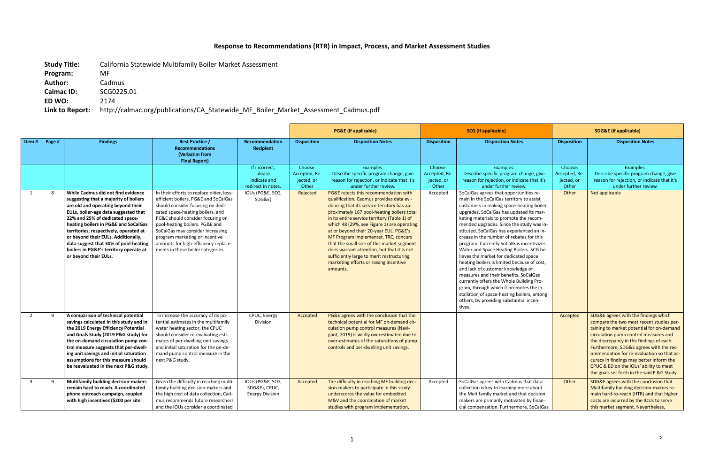## **Response to Recommendations (RTR) in Impact, Process, and Market Assessment Studies**

**Study Title:** California Statewide Multifamily Boiler Market Assessment **Program:** MF

**Author:** Cadmus

**Calmac ID:** SCG0225.01

**ED WO:** 2174

**Link to Report:** http://calmac.org/publications/CA\_Statewide\_MF\_Boiler\_Market\_Assessment\_Cadmus.pdf

|                         |        |                                                                                                                                                                                                                                                                                                                                                                                                                                   |                                                                                                                                                                                                                                                                                                                                                                                    |                                                               |                                                 | <b>SCG</b> (if applicable)<br><b>PG&amp;E</b> (if applicable)                                                                                                                                                                                                                                                                                                                                                                                                                                                                                                |                                                 |                                                                                                                                                                                                                                                                                                                                                                                                                                                                                                                                                                                                                                                                                                                                                                                                                  | <b>SDG&amp;E</b> (if applicable)                |                                                                                                                                                                                                                                                                                                                                                                                                                                                 |
|-------------------------|--------|-----------------------------------------------------------------------------------------------------------------------------------------------------------------------------------------------------------------------------------------------------------------------------------------------------------------------------------------------------------------------------------------------------------------------------------|------------------------------------------------------------------------------------------------------------------------------------------------------------------------------------------------------------------------------------------------------------------------------------------------------------------------------------------------------------------------------------|---------------------------------------------------------------|-------------------------------------------------|--------------------------------------------------------------------------------------------------------------------------------------------------------------------------------------------------------------------------------------------------------------------------------------------------------------------------------------------------------------------------------------------------------------------------------------------------------------------------------------------------------------------------------------------------------------|-------------------------------------------------|------------------------------------------------------------------------------------------------------------------------------------------------------------------------------------------------------------------------------------------------------------------------------------------------------------------------------------------------------------------------------------------------------------------------------------------------------------------------------------------------------------------------------------------------------------------------------------------------------------------------------------------------------------------------------------------------------------------------------------------------------------------------------------------------------------------|-------------------------------------------------|-------------------------------------------------------------------------------------------------------------------------------------------------------------------------------------------------------------------------------------------------------------------------------------------------------------------------------------------------------------------------------------------------------------------------------------------------|
| Item#                   | Page # | <b>Findings</b>                                                                                                                                                                                                                                                                                                                                                                                                                   | <b>Best Practice /</b><br><b>Recommendations</b><br>(Verbatim from<br><b>Final Report)</b>                                                                                                                                                                                                                                                                                         | Recommendation<br><b>Recipient</b>                            | <b>Disposition</b>                              | <b>Disposition Notes</b>                                                                                                                                                                                                                                                                                                                                                                                                                                                                                                                                     | <b>Disposition</b>                              | <b>Disposition Notes</b>                                                                                                                                                                                                                                                                                                                                                                                                                                                                                                                                                                                                                                                                                                                                                                                         | <b>Disposition</b>                              | <b>Disposition Notes</b>                                                                                                                                                                                                                                                                                                                                                                                                                        |
|                         |        |                                                                                                                                                                                                                                                                                                                                                                                                                                   |                                                                                                                                                                                                                                                                                                                                                                                    | If incorrect,<br>please<br>indicate and<br>redirect in notes. | Choose:<br>Accepted, Re-<br>jected, or<br>Other | Examples:<br>Describe specific program change, give<br>reason for rejection, or indicate that it's<br>under further review.                                                                                                                                                                                                                                                                                                                                                                                                                                  | Choose:<br>Accepted, Re-<br>jected, or<br>Other | Examples:<br>Describe specific program change, give<br>reason for rejection, or indicate that it's<br>under further review.                                                                                                                                                                                                                                                                                                                                                                                                                                                                                                                                                                                                                                                                                      | Choose:<br>Accepted, Re-<br>jected, or<br>Other | Examples:<br>Describe specific program change, give<br>reason for rejection, or indicate that it's<br>under further review.                                                                                                                                                                                                                                                                                                                     |
| 1                       | 8      | While Cadmus did not find evidence<br>suggesting that a majority of boilers<br>are old and operating beyond their<br>EULs, boiler-age data suggested that<br>22% and 25% of dedicated space-<br>heating boilers in PG&E and SoCalGas<br>territories, respectively, operated at<br>or beyond their EULs. Additionally,<br>data suggest that 30% of pool-heating<br>boilers in PG&E's territory operate at<br>or beyond their EULs. | In their efforts to replace older, less-<br>efficient boilers, PG&E and SoCalGas<br>should consider focusing on dedi-<br>cated space-heating boilers, and<br>PG&E should consider focusing on<br>pool-heating boilers. PG&E and<br>SoCalGas may consider increasing<br>program marketing or incentive<br>amounts for high-efficiency replace-<br>ments in these boiler categories. | IOUs (PG&E, SCG,<br>SDG&E)                                    | Rejected                                        | PG&E rejects this recommendation with<br>qualification. Cadmus provides data evi-<br>dencing that its service territory has ap-<br>proximately 167 pool-heating boilers total<br>in its entire service territory (Table 1) of<br>which 48 (29%, see Figure 1) are operating<br>at or beyond their 20-year EUL. PG&E's<br>MF Program implementer, TRC, concurs<br>that the small size of this market segment<br>does warrant attention, but that it is not<br>sufficiently large to merit restructuring<br>marketing efforts or raising incentive<br>amounts. | Accepted                                        | SoCalGas agrees that opportunities re-<br>main in the SoCalGas territory to assist<br>customers in making space-heating boiler<br>upgrades. SoCalGas has updated its mar-<br>keting materials to promote the recom-<br>mended upgrades. Since the study was in-<br>stituted, SoCalGas has experienced an in-<br>crease in the number of rebates for this<br>program. Currently SoCalGas incentivizes<br>Water and Space Heating Boilers. SCG be-<br>lieves the market for dedicated space<br>heating boilers is limited because of cost,<br>and lack of customer knowledge of<br>measures and their benefits. SoCalGas<br>currently offers the Whole Building Pro-<br>gram, through which it promotes the in-<br>stallation of space-heating boilers, among<br>others, by providing substantial incen-<br>tives. | Other                                           | Not applicable                                                                                                                                                                                                                                                                                                                                                                                                                                  |
| $\overline{2}$          | 9      | A comparison of technical potential<br>savings calculated in this study and in<br>the 2019 Energy Efficiency Potential<br>and Goals Study (2019 P&G study) for<br>the on-demand circulation pump con-<br>trol measure suggests that per-dwell-<br>ing unit savings and initial saturation<br>assumptions for this measure should<br>be reevaluated in the next P&G study.                                                         | To increase the accuracy of its po-<br>tential estimates in the multifamily<br>water heating sector, the CPUC<br>should consider re-evaluating esti-<br>mates of per-dwelling unit savings<br>and initial saturation for the on-de-<br>mand pump control measure in the<br>next P&G study.                                                                                         | CPUC, Energy<br>Division                                      | Accepted                                        | PG&E agrees with the conclusion that the<br>technical potential for MF on-demand cir-<br>culation pump control measures (Navi-<br>gant, 2019) is wildly overestimated due to<br>over-estimates of the saturations of pump<br>controls and per-dwelling unit savings.                                                                                                                                                                                                                                                                                         |                                                 |                                                                                                                                                                                                                                                                                                                                                                                                                                                                                                                                                                                                                                                                                                                                                                                                                  | Accepted                                        | SDG&E agrees with the findings which<br>compare the two most recent studies per-<br>taining to market potential for on-demand<br>circulation pump control measures and<br>the discrepancy in the findings of each.<br>Furthermore, SDG&E agrees with the rec-<br>ommendation for re-evaluation so that ac-<br>curacy in findings may better inform the<br>CPUC & ED on the IOUs' ability to meet<br>the goals set forth in the said P &G Study. |
| $\overline{\mathbf{3}}$ | q      | <b>Multifamily building decision-makers</b><br>remain hard to reach. A coordinated<br>phone outreach campaign, coupled<br>with high incentives (\$200 per site                                                                                                                                                                                                                                                                    | Given the difficulty in reaching multi-<br>family building decision-makers and<br>the high cost of data collection, Cad-<br>mus recommends future researchers<br>and the IOUs consider a coordinated                                                                                                                                                                               | IOUs (PG&E, SCG,<br>SDG&E), CPUC,<br><b>Energy Division</b>   | Accepted                                        | The difficulty in reaching MF building deci-<br>sion-makers to participate in this study<br>underscores the value for embedded<br>M&V and the coordination of market<br>studies with program implementation,                                                                                                                                                                                                                                                                                                                                                 | Accepted                                        | SoCalGas agrees with Cadmus that data<br>collection is key to learning more about<br>the Multifamily market and that decision<br>makers are primarily motivated by finan-<br>cial compensation. Furthermore, SoCalGas                                                                                                                                                                                                                                                                                                                                                                                                                                                                                                                                                                                            | Other                                           | SDG&E agrees with the conclusion that<br>Multifamily building decision-makers re-<br>main hard-to-reach (HTR) and that higher<br>costs are incurred by the IOUs to serve<br>this market segment. Nevertheless,                                                                                                                                                                                                                                  |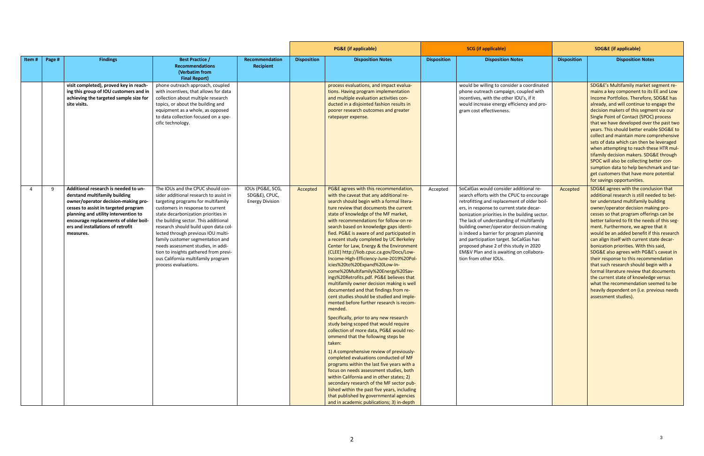|       |        |                                                                                                                                                                                                                                                                                         |                                                                                                                                                                                                                                                                                                                                                                                                                                                                                                     |                                                             | <b>PG&amp;E</b> (if applicable) |                                                                                                                                                                                                                                                                                                                                                                                                                                                                                                                                                                                                                                                                                                                                                                                                                                                                                                                                                                                                                                                                                                                                                                                                                                                                                                                                                                                                                                             | <b>SCG</b> (if applicable) |                                                                                                                                                                                                                                                                                                                                                                                                                                                                                                                            | <b>SDG&amp;E (if applicable)</b> |                                                                                                                                                                                                                                                                                                                                                                                                                                                                                                                                                                                                                                                                                                                                                                            |
|-------|--------|-----------------------------------------------------------------------------------------------------------------------------------------------------------------------------------------------------------------------------------------------------------------------------------------|-----------------------------------------------------------------------------------------------------------------------------------------------------------------------------------------------------------------------------------------------------------------------------------------------------------------------------------------------------------------------------------------------------------------------------------------------------------------------------------------------------|-------------------------------------------------------------|---------------------------------|---------------------------------------------------------------------------------------------------------------------------------------------------------------------------------------------------------------------------------------------------------------------------------------------------------------------------------------------------------------------------------------------------------------------------------------------------------------------------------------------------------------------------------------------------------------------------------------------------------------------------------------------------------------------------------------------------------------------------------------------------------------------------------------------------------------------------------------------------------------------------------------------------------------------------------------------------------------------------------------------------------------------------------------------------------------------------------------------------------------------------------------------------------------------------------------------------------------------------------------------------------------------------------------------------------------------------------------------------------------------------------------------------------------------------------------------|----------------------------|----------------------------------------------------------------------------------------------------------------------------------------------------------------------------------------------------------------------------------------------------------------------------------------------------------------------------------------------------------------------------------------------------------------------------------------------------------------------------------------------------------------------------|----------------------------------|----------------------------------------------------------------------------------------------------------------------------------------------------------------------------------------------------------------------------------------------------------------------------------------------------------------------------------------------------------------------------------------------------------------------------------------------------------------------------------------------------------------------------------------------------------------------------------------------------------------------------------------------------------------------------------------------------------------------------------------------------------------------------|
| Item# | Page # | <b>Findings</b>                                                                                                                                                                                                                                                                         | <b>Best Practice /</b><br><b>Recommendations</b><br>(Verbatim from<br><b>Final Report)</b>                                                                                                                                                                                                                                                                                                                                                                                                          | Recommendation<br><b>Recipient</b>                          | <b>Disposition</b>              | <b>Disposition Notes</b>                                                                                                                                                                                                                                                                                                                                                                                                                                                                                                                                                                                                                                                                                                                                                                                                                                                                                                                                                                                                                                                                                                                                                                                                                                                                                                                                                                                                                    | <b>Disposition</b>         | <b>Disposition Notes</b>                                                                                                                                                                                                                                                                                                                                                                                                                                                                                                   | <b>Disposition</b>               | <b>Disposition Notes</b>                                                                                                                                                                                                                                                                                                                                                                                                                                                                                                                                                                                                                                                                                                                                                   |
|       |        | visit completed), proved key in reach-<br>ing this group of IOU customers and in<br>achieving the targeted sample size for<br>site visits.                                                                                                                                              | phone outreach approach, coupled<br>with incentives, that allows for data<br>collection about multiple research<br>topics, or about the building and<br>equipment as a whole, as opposed<br>to data collection focused on a spe-<br>cific technology.                                                                                                                                                                                                                                               |                                                             |                                 | process evaluations, and impact evalua-<br>tions. Having program implementation<br>and multiple evaluation activities con-<br>ducted in a disjointed fashion results in<br>poorer research outcomes and greater<br>ratepayer expense.                                                                                                                                                                                                                                                                                                                                                                                                                                                                                                                                                                                                                                                                                                                                                                                                                                                                                                                                                                                                                                                                                                                                                                                                       |                            | would be willing to consider a coordinated<br>phone outreach campaign, coupled with<br>incentives, with the other IOU's, if it<br>would increase energy efficiency and pro-<br>gram cost effectiveness.                                                                                                                                                                                                                                                                                                                    |                                  | SDG&E's Multifamily market segment re-<br>mains a key component to its EE and Low<br>Income Portfolios. Therefore, SDG&E has<br>already, and will continue to engage the<br>decision makers of this segment via our<br>Single Point of Contact (SPOC) process<br>that we have developed over the past two<br>years. This should better enable SDG&E to<br>collect and maintain more comprehensive<br>sets of data which can then be leveraged<br>when attempting to reach these HTR mul-<br>tifamily decision makers. SDG&E through<br>SPOC will also be collecting better con-<br>sumption data to help benchmark and tar-<br>get customers that have more potential<br>for savings opportunities.                                                                        |
|       | q      | Additional research is needed to un-<br>derstand multifamily building<br>owner/operator decision-making pro-<br>cesses to assist in targeted program<br>planning and utility intervention to<br>encourage replacements of older boil-<br>ers and installations of retrofit<br>measures. | The IOUs and the CPUC should con-<br>sider additional research to assist in<br>targeting programs for multifamily<br>customers in response to current<br>state decarbonization priorities in<br>the building sector. This additional<br>research should build upon data col-<br>lected through previous IOU multi-<br>family customer segmentation and<br>needs assessment studies, in addi-<br>tion to insights gathered from previ-<br>ous California multifamily program<br>process evaluations. | IOUs (PG&E, SCG,<br>SDG&E), CPUC,<br><b>Energy Division</b> | Accepted                        | PG&E agrees with this recommendation,<br>with the caveat that any additional re-<br>search should begin with a formal litera-<br>ture review that documents the current<br>state of knowledge of the MF market,<br>with recommendations for follow-on re-<br>search based on knowledge gaps identi-<br>fied. PG&E is aware of and participated in<br>a recent study completed by UC Berkeley<br>Center for Law, Energy & the Environment<br>(CLEE) http://liob.cpuc.ca.gov/Docs/Low-<br>Income-High-Efficiency-June-2019%20Pol-<br>icies%20to%20Expand%20Low-In-<br>come%20Multifamily%20Energy%20Sav-<br>ings%20Retrofits.pdf. PG&E believes that<br>multifamily owner decision making is well<br>documented and that findings from re-<br>cent studies should be studied and imple-<br>mented before further research is recom-<br>mended.<br>Specifically, prior to any new research<br>study being scoped that would require<br>collection of more data, PG&E would rec-<br>ommend that the following steps be<br>taken:<br>1) A comprehensive review of previously-<br>completed evaluations conducted of MF<br>programs within the last five years with a<br>focus on needs assessment studies, both<br>within California and in other states; 2)<br>secondary research of the MF sector pub-<br>lished within the past five years, including<br>that published by governmental agencies<br>and in academic publications; 3) in-depth | Accepted                   | SoCalGas would consider additional re-<br>search efforts with the CPUC to encourage<br>retrofitting and replacement of older boil-<br>ers, in response to current state decar-<br>bonization priorities in the building sector.<br>The lack of understanding of multifamily<br>building owner/operator decision-making<br>is indeed a barrier for program planning<br>and participation target. SoCalGas has<br>proposed phase 2 of this study in 2020<br>EM&V Plan and is awaiting on collabora-<br>tion from other IOUs. | Accepted                         | SDG&E agrees with the conclusion that<br>additional research is still needed to bet-<br>ter understand multifamily building<br>owner/operator decision making pro-<br>cesses so that program offerings can be<br>better tailored to fit the needs of this seg-<br>ment. Furthermore, we agree that it<br>would be an added benefit if this research<br>can align itself with current state decar-<br>bonization priorities. With this said,<br>SDG&E also agrees with PG&E's caveat in<br>their response to this recommendation<br>that such research should begin with a<br>formal literature review that documents<br>the current state of knowledge versus<br>what the recommendation seemed to be<br>heavily dependent on (i.e. previous needs<br>assessment studies). |